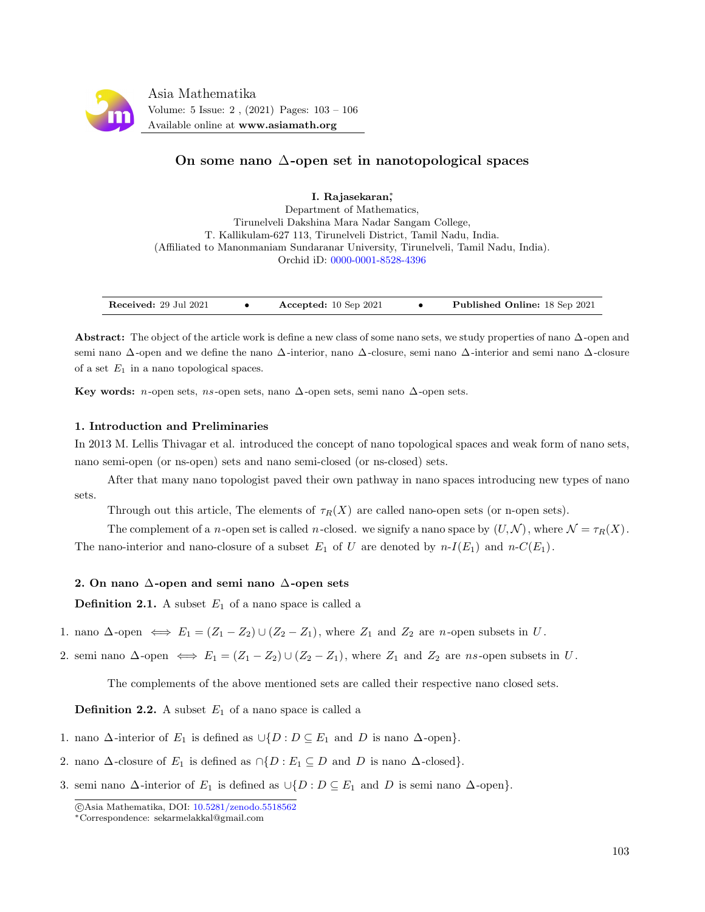

# On some nano ∆-open set in nanotopological spaces

I. Rajasekaran<sup>\*</sup>,

Department of Mathematics, Tirunelveli Dakshina Mara Nadar Sangam College, T. Kallikulam-627 113, Tirunelveli District, Tamil Nadu, India. (Affiliated to Manonmaniam Sundaranar University, Tirunelveli, Tamil Nadu, India). Orchid iD: [0000-0001-8528-4396](https://orcid.org/0000-0001-8528-4396)

| <b>Received:</b> 29 Jul 2021 |  | Accepted: $10$ Sep 2021 |  | <b>Published Online: 18 Sep 2021</b> |
|------------------------------|--|-------------------------|--|--------------------------------------|
|------------------------------|--|-------------------------|--|--------------------------------------|

Abstract: The object of the article work is define a new class of some nano sets, we study properties of nano  $\Delta$ -open and semi nano ∆ -open and we define the nano ∆ -interior, nano ∆ -closure, semi nano ∆ -interior and semi nano ∆ -closure of a set  $E_1$  in a nano topological spaces.

Key words: n-open sets, ns-open sets, nano  $\Delta$ -open sets, semi nano  $\Delta$ -open sets.

# 1. Introduction and Preliminaries

In 2013 M. Lellis Thivagar et al. introduced the concept of nano topological spaces and weak form of nano sets, nano semi-open (or ns-open) sets and nano semi-closed (or ns-closed) sets.

After that many nano topologist paved their own pathway in nano spaces introducing new types of nano sets.

Through out this article, The elements of  $\tau_R(X)$  are called nano-open sets (or n-open sets).

The complement of a n-open set is called n-closed. we signify a nano space by  $(U, \mathcal{N})$ , where  $\mathcal{N} = \tau_R(X)$ . The nano-interior and nano-closure of a subset  $E_1$  of U are denoted by  $n-I(E_1)$  and  $n-C(E_1)$ .

### 2. On nano ∆-open and semi nano ∆-open sets

**Definition 2.1.** A subset  $E_1$  of a nano space is called a

1. nano  $\Delta$ -open  $\iff E_1 = (Z_1 - Z_2) \cup (Z_2 - Z_1)$ , where  $Z_1$  and  $Z_2$  are *n*-open subsets in U.

2. semi nano  $\Delta$ -open  $\iff E_1 = (Z_1 - Z_2) \cup (Z_2 - Z_1)$ , where  $Z_1$  and  $Z_2$  are ns-open subsets in U.

The complements of the above mentioned sets are called their respective nano closed sets.

**Definition 2.2.** A subset  $E_1$  of a nano space is called a

1. nano  $\Delta$ -interior of  $E_1$  is defined as  $\cup \{D : D \subseteq E_1 \text{ and } D \text{ is nano } \Delta \text{-open}\}.$ 

- 2. nano  $\Delta$ -closure of  $E_1$  is defined as  $\cap \{D : E_1 \subseteq D \text{ and } D \text{ is nano }\Delta \text{-closed}\}.$
- 3. semi nano Δ-interior of  $E_1$  is defined as  $\cup \{D : D \subseteq E_1 \text{ and } D \text{ is semi nano } \Delta \text{-open}\}.$

c Asia Mathematika, DOI: [10.5281/zenodo.5518562](http://www.asiamath.org/article/vol5iss2/AM-2108-5217.pdf)

<sup>∗</sup>Correspondence: sekarmelakkal@gmail.com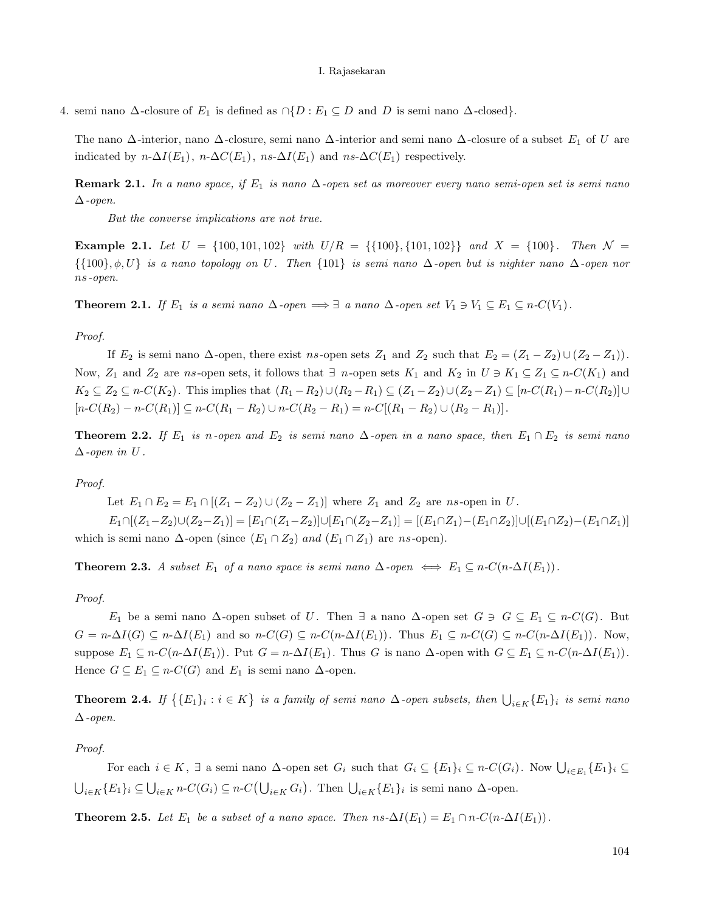#### I. Rajasekaran

4. semi nano  $\Delta$ -closure of  $E_1$  is defined as  $\cap \{D : E_1 \subseteq D \text{ and } D \text{ is semi nano } \Delta \text{-closed}\}.$ 

The nano  $\Delta$ -interior, nano  $\Delta$ -closure, semi nano  $\Delta$ -interior and semi nano  $\Delta$ -closure of a subset  $E_1$  of U are indicated by  $n-\Delta I(E_1)$ ,  $n-\Delta C(E_1)$ ,  $ns-\Delta I(E_1)$  and  $ns-\Delta C(E_1)$  respectively.

**Remark 2.1.** In a nano space, if  $E_1$  is nano  $\Delta$ -open set as moreover every nano semi-open set is semi nano  $\Delta$ -open.

But the converse implications are not true.

Example 2.1. Let  $U = \{100, 101, 102\}$  with  $U/R = \{\{100\}, \{101, 102\}\}$  and  $X = \{100\}$ . Then  $\mathcal{N} =$  $\{\{100\}, \phi, U\}$  is a nano topology on U. Then  $\{101\}$  is semi nano  $\Delta$ -open but is nighter nano  $\Delta$ -open nor ns-open.

**Theorem 2.1.** If  $E_1$  is a semi nano  $\Delta$ -open  $\implies \exists$  a nano  $\Delta$ -open set  $V_1 \ni V_1 \subseteq E_1 \subseteq n$ - $C(V_1)$ .

#### Proof.

If  $E_2$  is semi nano  $\Delta$ -open, there exist ns-open sets  $Z_1$  and  $Z_2$  such that  $E_2 = (Z_1 - Z_2) \cup (Z_2 - Z_1)$ . Now,  $Z_1$  and  $Z_2$  are ns-open sets, it follows that  $\exists n$ -open sets  $K_1$  and  $K_2$  in  $U \ni K_1 \subseteq Z_1 \subseteq n-C(K_1)$  and  $K_2 \subseteq Z_2 \subseteq n-C(K_2)$ . This implies that  $(R_1 - R_2) \cup (R_2 - R_1) \subseteq (Z_1 - Z_2) \cup (Z_2 - Z_1) \subseteq [n-C(R_1) - n-C(R_2)] \cup (Z_2 - Z_1)$  $[n-C(R_2) - n-C(R_1)] \subseteq n-C(R_1 - R_2) \cup n-C(R_2 - R_1) = n-C[(R_1 - R_2) \cup (R_2 - R_1)].$ 

<span id="page-1-0"></span>**Theorem 2.2.** If  $E_1$  is n-open and  $E_2$  is semi nano  $\Delta$ -open in a nano space, then  $E_1 \cap E_2$  is semi nano  $\Delta$ -open in U.

Proof.

Let  $E_1 \cap E_2 = E_1 \cap [(Z_1 - Z_2) \cup (Z_2 - Z_1)]$  where  $Z_1$  and  $Z_2$  are ns-open in U.  $E_1 \cap [(Z_1 - Z_2) \cup (Z_2 - Z_1)] = [E_1 \cap (Z_1 - Z_2)] \cup [E_1 \cap (Z_2 - Z_1)] = [(E_1 \cap Z_1) - (E_1 \cap Z_2)] \cup [(E_1 \cap Z_2) - (E_1 \cap Z_1)]$ which is semi nano  $\Delta$ -open (since  $(E_1 \cap Z_2)$  and  $(E_1 \cap Z_1)$  are ns-open).

**Theorem 2.3.** A subset  $E_1$  of a nano space is semi nano  $\Delta$ -open  $\iff E_1 \subseteq n \cdot C(n \cdot \Delta I(E_1))$ .

Proof.

 $E_1$  be a semi-nano  $\Delta$ -open subset of U. Then ∃ a nano  $\Delta$ -open set  $G \ni G \subseteq E_1 \subseteq n$ -C(G). But  $G = n-\Delta I(G) \subseteq n-\Delta I(E_1)$  and so  $n-C(G) \subseteq n-C(n-\Delta I(E_1))$ . Thus  $E_1 \subseteq n-C(G) \subseteq n-C(n-\Delta I(E_1))$ . Now, suppose  $E_1 \subseteq n-C(n-\Delta I(E_1))$ . Put  $G = n-\Delta I(E_1)$ . Thus G is nano  $\Delta$ -open with  $G \subseteq E_1 \subseteq n-C(n-\Delta I(E_1))$ . Hence  $G \subseteq E_1 \subseteq n$ -C(G) and  $E_1$  is semi nano  $\Delta$ -open.

**Theorem 2.4.** If  $\{ \{E_1\}_i : i \in K \}$  is a family of semi nano  $\Delta$ -open subsets, then  $\bigcup_{i \in K} \{E_1\}_i$  is semi nano  $\Delta$ -open.

Proof.

For each  $i \in K$ ,  $\exists$  a semi nano  $\Delta$ -open set  $G_i$  such that  $G_i \subseteq \{E_1\}_i \subseteq n$ - $C(G_i)$ . Now  $\bigcup_{i \in E_1} \{E_1\}_i \subseteq$  $\bigcup_{i\in K}\{E_1\}_i\subseteq \bigcup_{i\in K}n-C(G_i)\subseteq n-C(\bigcup_{i\in K}G_i)$ . Then  $\bigcup_{i\in K}\{E_1\}_i$  is semi nano  $\Delta$ -open.

**Theorem 2.5.** Let  $E_1$  be a subset of a nano space. Then  $ns\text{-}\Delta I(E_1) = E_1 \cap n\text{-}\mathrm{C}(n\text{-}\Delta I(E_1))$ .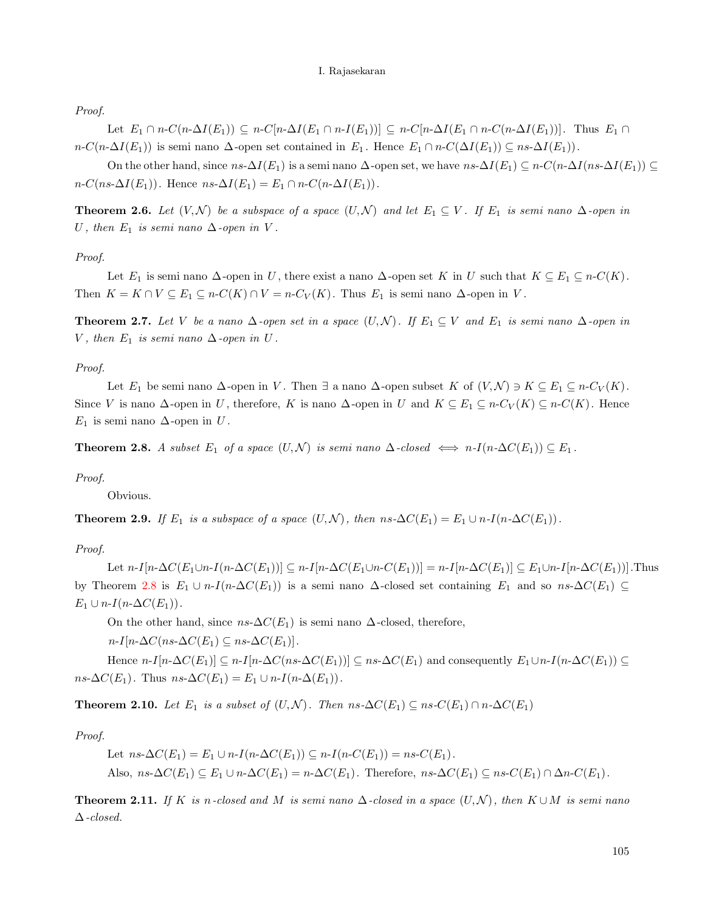#### I. Rajasekaran

Proof.

Let  $E_1 \cap n\text{-}C(n\text{-}\Delta I(E_1)) \subseteq n\text{-}C[n\text{-}\Delta I(E_1 \cap n\text{-}I(E_1))] \subseteq n\text{-}C[n\text{-}\Delta I(E_1 \cap n\text{-}C(n\text{-}\Delta I(E_1))]$ . Thus  $E_1 \cap n\text{-}C(n\text{-}\Delta I(E_1))$  $n-C(n-\Delta I(E_1))$  is semi nano  $\Delta$ -open set contained in  $E_1$ . Hence  $E_1 \cap n-C(\Delta I(E_1)) \subseteq ns-\Delta I(E_1)$ .

On the other hand, since ns- $\Delta I(E_1)$  is a semi nano  $\Delta$ -open set, we have ns- $\Delta I(E_1) \subseteq n \cdot C(n \cdot \Delta I(n \cdot \Delta I(E_1)) \subseteq$  $n-C(ns-\Delta I(E_1))$ . Hence  $ns-\Delta I(E_1) = E_1 \cap n-C(n-\Delta I(E_1))$ .

**Theorem 2.6.** Let  $(V, \mathcal{N})$  be a subspace of a space  $(U, \mathcal{N})$  and let  $E_1 \subseteq V$ . If  $E_1$  is semi nano  $\Delta$ -open in U, then  $E_1$  is semi nano  $\Delta$ -open in V.

Proof.

Let  $E_1$  is semi nano  $\Delta$ -open in U, there exist a nano  $\Delta$ -open set K in U such that  $K \subseteq E_1 \subseteq n-C(K)$ . Then  $K = K \cap V \subseteq E_1 \subseteq n \cdot C(K) \cap V = n \cdot C_V(K)$ . Thus  $E_1$  is semi-nano  $\Delta$ -open in V.

**Theorem 2.7.** Let V be a nano  $\Delta$ -open set in a space  $(U, \mathcal{N})$ . If  $E_1 \subseteq V$  and  $E_1$  is semi nano  $\Delta$ -open in V, then  $E_1$  is semi nano  $\Delta$ -open in U.

# Proof.

Let  $E_1$  be semi nano  $\Delta$ -open in V. Then  $\exists$  a nano  $\Delta$ -open subset K of  $(V, \mathcal{N}) \ni K \subseteq E_1 \subseteq n$ - $C_V(K)$ . Since V is nano  $\Delta$ -open in U, therefore, K is nano  $\Delta$ -open in U and  $K \subseteq E_1 \subseteq n$ - $C_V(K) \subseteq n$ - $C(K)$ . Hence  $E_1$  is semi nano  $\Delta$ -open in U.

<span id="page-2-0"></span>**Theorem 2.8.** A subset  $E_1$  of a space  $(U, \mathcal{N})$  is semi nano  $\Delta$ -closed  $\iff$  n- $I(n \cdot \Delta C(E_1)) \subseteq E_1$ .

## Proof.

Obvious.

**Theorem 2.9.** If  $E_1$  is a subspace of a space  $(U, \mathcal{N})$ , then  $ns \Delta C(E_1) = E_1 \cup n \cdot I(n \cdot \Delta C(E_1))$ .

## Proof.

Let  $n-I[n-\Delta C(E_1\cup n-I(n-\Delta C(E_1))] \subseteq n-I[n-\Delta C(E_1\cup n-C(E_1))] = n-I[n-\Delta C(E_1)] \subseteq E_1\cup n-I[n-\Delta C(E_1)]$ . Thus by Theorem [2.8](#page-2-0) is  $E_1 \cup n-I(n-\Delta C(E_1))$  is a semi-nano  $\Delta$ -closed set containing  $E_1$  and so  $n\epsilon \Delta C(E_1) \subseteq$  $E_1 \cup n-I(n-\Delta C(E_1)).$ 

On the other hand, since  $ns\text{-}\Delta C(E_1)$  is semi nano  $\Delta$ -closed, therefore,

 $n-I[n-\Delta C(ns-\Delta C(E_1))\subset ns-\Delta C(E_1)].$ 

Hence  $n-I[n-\Delta C(E_1)] \subseteq n-I[n-\Delta C(ns-\Delta C(E_1))] \subseteq ns-\Delta C(E_1)$  and consequently  $E_1 \cup n-I(n-\Delta C(E_1)) \subseteq n$  $ns\text{-}\Delta C(E_1)$ . Thus  $ns\text{-}\Delta C(E_1) = E_1 \cup n\text{-}I(n\text{-}\Delta(E_1))$ .

**Theorem 2.10.** Let  $E_1$  is a subset of  $(U, \mathcal{N})$ . Then ns- $\Delta C(E_1) \subseteq ns \cdot C(E_1) \cap n \cdot \Delta C(E_1)$ 

Proof.

Let  $ns\text{-}\Delta C(E_1) = E_1 \cup n\text{-}I(n\text{-}\Delta C(E_1)) \subseteq n\text{-}I(n\text{-}C(E_1)) = ns\text{-}C(E_1)$ . Also,  $ns\text{-}\Delta C(E_1) \subseteq E_1 \cup n\text{-}\Delta C(E_1) = n\text{-}\Delta C(E_1)$ . Therefore,  $ns\text{-}\Delta C(E_1) \subseteq ns\text{-}C(E_1) \cap \Delta n\text{-}C(E_1)$ .

**Theorem 2.11.** If K is n-closed and M is semi nano  $\Delta$ -closed in a space  $(U, \mathcal{N})$ , then  $K \cup M$  is semi nano ∆-closed.